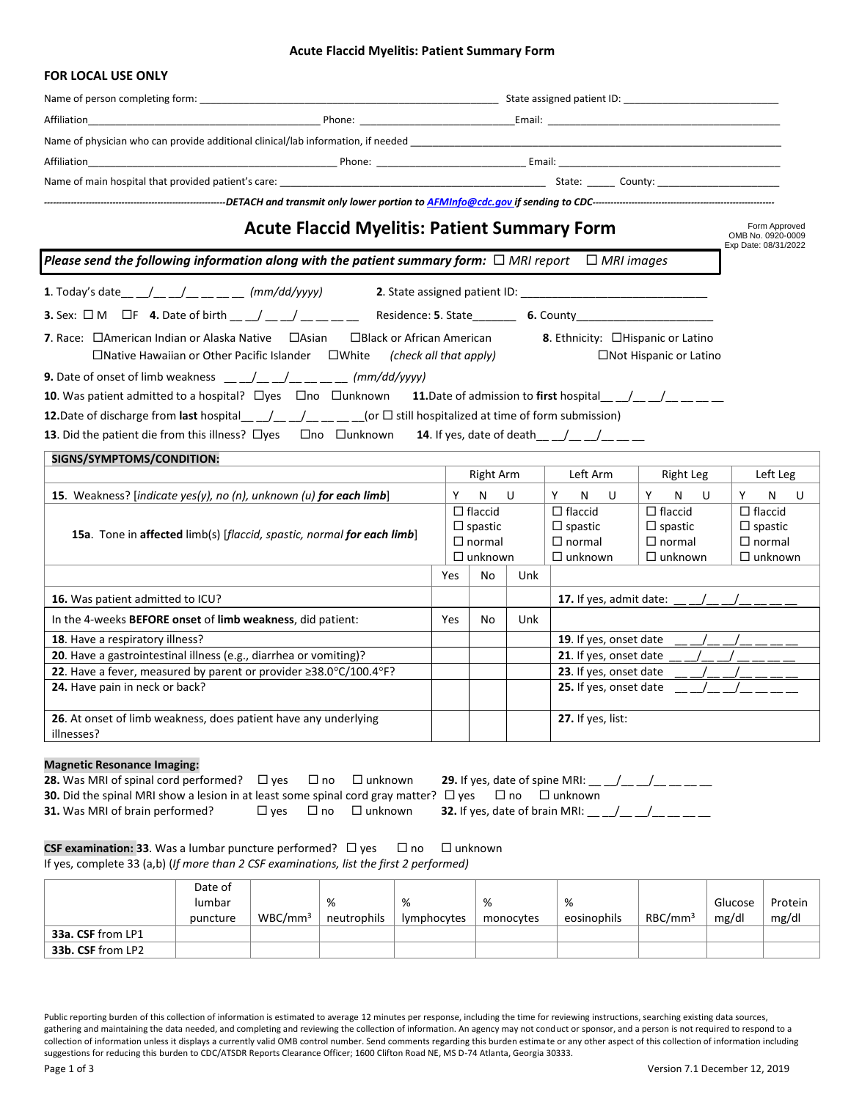#### **Acute Flaccid Myelitis: Patient Summary Form**

|                                                                                                                                                                                                                                                                                                                                                                                                                                                                                                        | Name of person completing form: Name of person completing form: Name of person completing form: |                                                                     |              |                                                                                                                                                                     |                               |                                                                     |  |
|--------------------------------------------------------------------------------------------------------------------------------------------------------------------------------------------------------------------------------------------------------------------------------------------------------------------------------------------------------------------------------------------------------------------------------------------------------------------------------------------------------|-------------------------------------------------------------------------------------------------|---------------------------------------------------------------------|--------------|---------------------------------------------------------------------------------------------------------------------------------------------------------------------|-------------------------------|---------------------------------------------------------------------|--|
|                                                                                                                                                                                                                                                                                                                                                                                                                                                                                                        |                                                                                                 |                                                                     |              |                                                                                                                                                                     |                               |                                                                     |  |
| Name of physician who can provide additional clinical/lab information, if needed                                                                                                                                                                                                                                                                                                                                                                                                                       |                                                                                                 |                                                                     |              |                                                                                                                                                                     |                               |                                                                     |  |
|                                                                                                                                                                                                                                                                                                                                                                                                                                                                                                        |                                                                                                 |                                                                     |              |                                                                                                                                                                     |                               |                                                                     |  |
|                                                                                                                                                                                                                                                                                                                                                                                                                                                                                                        |                                                                                                 |                                                                     |              |                                                                                                                                                                     |                               |                                                                     |  |
|                                                                                                                                                                                                                                                                                                                                                                                                                                                                                                        |                                                                                                 |                                                                     |              |                                                                                                                                                                     |                               |                                                                     |  |
| <b>Acute Flaccid Myelitis: Patient Summary Form</b>                                                                                                                                                                                                                                                                                                                                                                                                                                                    |                                                                                                 |                                                                     |              |                                                                                                                                                                     |                               | Form Approved<br>OMB No. 0920-0009<br>Exp Date: 08/31/2022          |  |
| Please send the following information along with the patient summary form: $\Box$ MRI report $\Box$ MRI images                                                                                                                                                                                                                                                                                                                                                                                         |                                                                                                 |                                                                     |              |                                                                                                                                                                     |                               |                                                                     |  |
| 1. Today's date __ _/__ _/__ __ __ (mm/dd/yyyy)                                                                                                                                                                                                                                                                                                                                                                                                                                                        |                                                                                                 |                                                                     |              |                                                                                                                                                                     |                               |                                                                     |  |
| <b>3.</b> Sex: $\Box$ M $\Box$ F 4. Date of birth $\underline{\hspace{1cm}}$ $\underline{\hspace{1cm}}$ $\underline{\hspace{1cm}}$ $\underline{\hspace{1cm}}$ $\underline{\hspace{1cm}}$ $\underline{\hspace{1cm}}$ $\underline{\hspace{1cm}}$ Residence: 5. State $\underline{\hspace{1cm}}$ 6. County $\underline{\hspace{1cm}}$ $\underline{\hspace{1cm}}$ $\underline{\hspace{1cm}}$ $\underline{\hspace{$                                                                                         |                                                                                                 |                                                                     |              |                                                                                                                                                                     |                               |                                                                     |  |
| <b>7.</b> Race: $\Box$ American Indian or Alaska Native $\Box$ Asian<br>$\Box$ Black or African American<br>$\Box$ Native Hawaiian or Other Pacific Islander $\Box$ White (check all that apply)                                                                                                                                                                                                                                                                                                       |                                                                                                 |                                                                     |              | 8. Ethnicity: □Hispanic or Latino                                                                                                                                   | $\Box$ Not Hispanic or Latino |                                                                     |  |
| <b>9.</b> Date of onset of limb weakness $\underline{\qquad}$ $\underline{\qquad}$ $\underline{\qquad}$ $\underline{\qquad}$ $\underline{\qquad}$ (mm/dd/yyyy)<br><b>10</b> . Was patient admitted to a hospital? $\Box$ yes $\Box$ no $\Box$ unknown<br>12. Date of discharge from last hospital___/___/________(or $\Box$ still hospitalized at time of form submission)<br>13. Did the patient die from this illness? $\Box$ yes $\Box$ no $\Box$ unknown 14. If yes, date of death__ _/_ _/_ _/_ _ |                                                                                                 |                                                                     |              | <b>11.</b> Date of admission to first hospital $\left( \begin{array}{cc} \end{array} \right)$                                                                       |                               |                                                                     |  |
| SIGNS/SYMPTOMS/CONDITION:                                                                                                                                                                                                                                                                                                                                                                                                                                                                              |                                                                                                 |                                                                     |              |                                                                                                                                                                     |                               |                                                                     |  |
|                                                                                                                                                                                                                                                                                                                                                                                                                                                                                                        |                                                                                                 | Right Arm                                                           |              | Left Arm                                                                                                                                                            | Right Leg                     | Left Leg                                                            |  |
| 15. Weakness? [indicate yes(y), no (n), unknown (u) for each limb]                                                                                                                                                                                                                                                                                                                                                                                                                                     |                                                                                                 | Y N U                                                               |              | Y N<br>U                                                                                                                                                            | Y N U                         | N<br>Y<br>– U                                                       |  |
| 15a. Tone in affected limb(s) [flaccid, spastic, normal for each limb]                                                                                                                                                                                                                                                                                                                                                                                                                                 |                                                                                                 | $\Box$ flaccid<br>$\Box$ spastic<br>$\Box$ normal<br>$\Box$ unknown |              | $\Box$ flaccid<br>$\Box$ flaccid<br>$\Box$ spastic<br>$\Box$ spastic<br>$\Box$ normal<br>$\Box$ normal<br>$\Box$ unknown<br>$\Box$ unknown                          |                               | $\Box$ flaccid<br>$\Box$ spastic<br>$\Box$ normal<br>$\Box$ unknown |  |
|                                                                                                                                                                                                                                                                                                                                                                                                                                                                                                        | Yes                                                                                             | No                                                                  | Unk          |                                                                                                                                                                     |                               |                                                                     |  |
| 16. Was patient admitted to ICU?                                                                                                                                                                                                                                                                                                                                                                                                                                                                       |                                                                                                 |                                                                     |              | 17. If yes, admit date: $\frac{1}{2}$ $\frac{1}{2}$ $\frac{1}{2}$ $\frac{1}{2}$ $\frac{1}{2}$ $\frac{1}{2}$ $\frac{1}{2}$ $\frac{1}{2}$ $\frac{1}{2}$ $\frac{1}{2}$ |                               |                                                                     |  |
| In the 4-weeks BEFORE onset of limb weakness, did patient:                                                                                                                                                                                                                                                                                                                                                                                                                                             | <b>Yes</b>                                                                                      | No                                                                  | Unk          |                                                                                                                                                                     |                               |                                                                     |  |
| 18. Have a respiratory illness?                                                                                                                                                                                                                                                                                                                                                                                                                                                                        |                                                                                                 |                                                                     |              | 19. If yes, onset date                                                                                                                                              |                               | ------                                                              |  |
| 20. Have a gastrointestinal illness (e.g., diarrhea or vomiting)?                                                                                                                                                                                                                                                                                                                                                                                                                                      |                                                                                                 |                                                                     |              | 21. If yes, onset date<br>$ -$                                                                                                                                      |                               |                                                                     |  |
| 22. Have a fever, measured by parent or provider ≥38.0°C/100.4°F?                                                                                                                                                                                                                                                                                                                                                                                                                                      |                                                                                                 |                                                                     |              | 23. If yes, onset date                                                                                                                                              |                               |                                                                     |  |
| 24. Have pain in neck or back?                                                                                                                                                                                                                                                                                                                                                                                                                                                                         |                                                                                                 |                                                                     |              | 25. If yes, onset date                                                                                                                                              |                               |                                                                     |  |
| 26. At onset of limb weakness, does patient have any underlying<br>illnesses?                                                                                                                                                                                                                                                                                                                                                                                                                          |                                                                                                 | 27. If yes, list:                                                   |              |                                                                                                                                                                     |                               |                                                                     |  |
| <b>Magnetic Resonance Imaging:</b><br>28. Was MRI of spinal cord performed?<br>$\Box$ unknown<br>$\square$ yes<br>$\Box$ no<br>30. Did the spinal MRI show a lesion in at least some spinal cord gray matter? $\Box$ yes<br>31. Was MRI of brain performed?<br>$\square$ yes<br>$\square$ no<br>$\Box$ unknown                                                                                                                                                                                         |                                                                                                 |                                                                     | $\square$ no | <b>29.</b> If yes, date of spine MRI: $\_\_$ _ _/ _ _/ _ _ _ _<br>$\Box$ unknown<br><b>32.</b> If yes, date of brain MRI: __ _/__ _/__ _/__ __                      |                               |                                                                     |  |

**CSF examination: 33**. Was a lumbar puncture performed?  $\Box$  yes  $\Box$  no  $\Box$  unknown If yes, complete 33 (a,b) (*If more than 2 CSF examinations, list the first 2 performed)* 

|                   | Date of  |                     |             |             |           |             |                     |         |         |
|-------------------|----------|---------------------|-------------|-------------|-----------|-------------|---------------------|---------|---------|
|                   | lumbar   |                     | %           | %           | %         | %           |                     | Glucose | Protein |
|                   | puncture | WBC/mm <sup>3</sup> | neutrophils | lymphocytes | monocytes | eosinophils | RBC/mm <sup>3</sup> | mg/dl   | mg/dl   |
| 33a. CSF from LP1 |          |                     |             |             |           |             |                     |         |         |
| 33b. CSF from LP2 |          |                     |             |             |           |             |                     |         |         |

Public reporting burden of this collection of information is estimated to average 12 minutes per response, including the time for reviewing instructions, searching existing data sources, gathering and maintaining the data needed, and completing and reviewing the collection of information. An agency may not conduct or sponsor, and a person is not required to respond to a collection of information unless it displays a currently valid OMB control number. Send comments regarding this burden estimate or any other aspect of this collection of information including suggestions for reducing this burden to CDC/ATSDR Reports Clearance Officer; 1600 Clifton Road NE, MS D-74 Atlanta, Georgia 30333.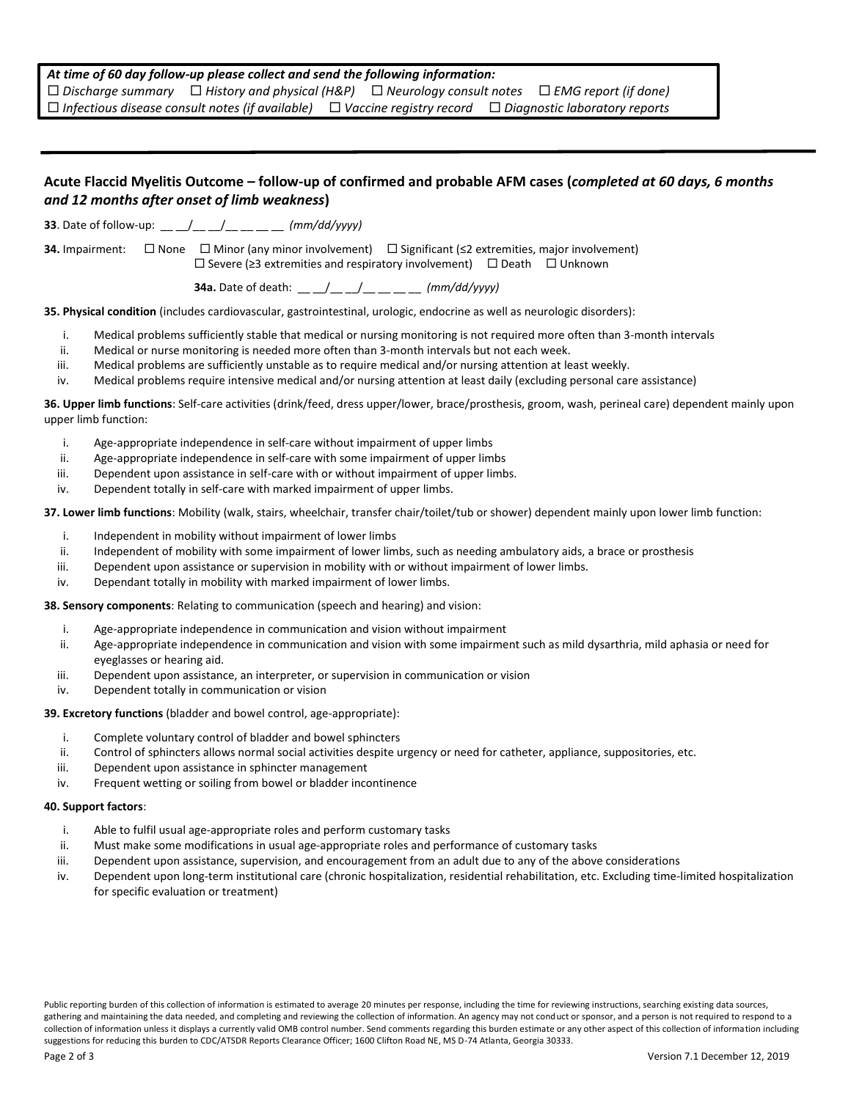| At time of 60 day follow-up please collect and send the following information: |  |  |  |  |                                                                                                                            |  |  |
|--------------------------------------------------------------------------------|--|--|--|--|----------------------------------------------------------------------------------------------------------------------------|--|--|
|                                                                                |  |  |  |  | $\Box$ Discharge summary $\Box$ History and physical (H&P) $\Box$ Neurology consult notes $\Box$ EMG report (if done)      |  |  |
|                                                                                |  |  |  |  | $\Box$ Infectious disease consult notes (if available) $\Box$ Vaccine registry record $\Box$ Diagnostic laboratory reports |  |  |

# **Acute Flaccid Myelitis Outcome – follow-up of confirmed and probable AFM cases (***completed at 60 days, 6 months and 12 months after onset of limb weakness***)**

**33**. Date of follow-up: \_\_ \_/\_\_ \_/\_\_ \_\_ \_\_ *(mm/dd/yyyy)* 

**34.** Impairment:  $\square$  None  $\square$  Minor (any minor involvement)  $\square$  Significant (≤2 extremities, major involvement)  $\square$  Severe (≥3 extremities and respiratory involvement)  $\square$  Death  $\square$  Unknown

**34a.** Date of death: \_\_ \_\_/\_\_ \_\_/\_\_ \_\_ \_\_ \_\_ *(mm/dd/yyyy)*

**35. Physical condition** (includes cardiovascular, gastrointestinal, urologic, endocrine as well as neurologic disorders):

- i. Medical problems sufficiently stable that medical or nursing monitoring is not required more often than 3-month intervals
- ii. Medical or nurse monitoring is needed more often than 3-month intervals but not each week.
- iii. Medical problems are sufficiently unstable as to require medical and/or nursing attention at least weekly.
- iv. Medical problems require intensive medical and/or nursing attention at least daily (excluding personal care assistance)

**36. Upper limb functions**: Self-care activities (drink/feed, dress upper/lower, brace/prosthesis, groom, wash, perineal care) dependent mainly upon upper limb function:

- i. Age-appropriate independence in self-care without impairment of upper limbs
- ii. Age-appropriate independence in self-care with some impairment of upper limbs
- iii. Dependent upon assistance in self-care with or without impairment of upper limbs.
- iv. Dependent totally in self-care with marked impairment of upper limbs.

**37. Lower limb functions**: Mobility (walk, stairs, wheelchair, transfer chair/toilet/tub or shower) dependent mainly upon lower limb function:

- i. Independent in mobility without impairment of lower limbs
- ii. Independent of mobility with some impairment of lower limbs, such as needing ambulatory aids, a brace or prosthesis
- iii. Dependent upon assistance or supervision in mobility with or without impairment of lower limbs.
- iv. Dependant totally in mobility with marked impairment of lower limbs.

**38. Sensory components**: Relating to communication (speech and hearing) and vision:

- i. Age-appropriate independence in communication and vision without impairment
- ii. Age-appropriate independence in communication and vision with some impairment such as mild dysarthria, mild aphasia or need for eyeglasses or hearing aid.
- iii. Dependent upon assistance, an interpreter, or supervision in communication or vision
- iv. Dependent totally in communication or vision

**39. Excretory functions** (bladder and bowel control, age-appropriate):

- i. Complete voluntary control of bladder and bowel sphincters
- ii. Control of sphincters allows normal social activities despite urgency or need for catheter, appliance, suppositories, etc.
- iii. Dependent upon assistance in sphincter management
- iv. Frequent wetting or soiling from bowel or bladder incontinence

#### **40. Support factors**:

- i. Able to fulfil usual age-appropriate roles and perform customary tasks
- ii. Must make some modifications in usual age-appropriate roles and performance of customary tasks
- iii. Dependent upon assistance, supervision, and encouragement from an adult due to any of the above considerations
- iv. Dependent upon long-term institutional care (chronic hospitalization, residential rehabilitation, etc. Excluding time-limited hospitalization for specific evaluation or treatment)

Public reporting burden of this collection of information is estimated to average 20 minutes per response, including the time for reviewing instructions, searching existing data sources, gathering and maintaining the data needed, and completing and reviewing the collection of information. An agency may not conduct or sponsor, and a person is not required to respond to a collection of information unless it displays a currently valid OMB control number. Send comments regarding this burden estimate or any other aspect of this collection of information including suggestions for reducing this burden to CDC/ATSDR Reports Clearance Officer; 1600 Clifton Road NE, MS D-74 Atlanta, Georgia 30333.